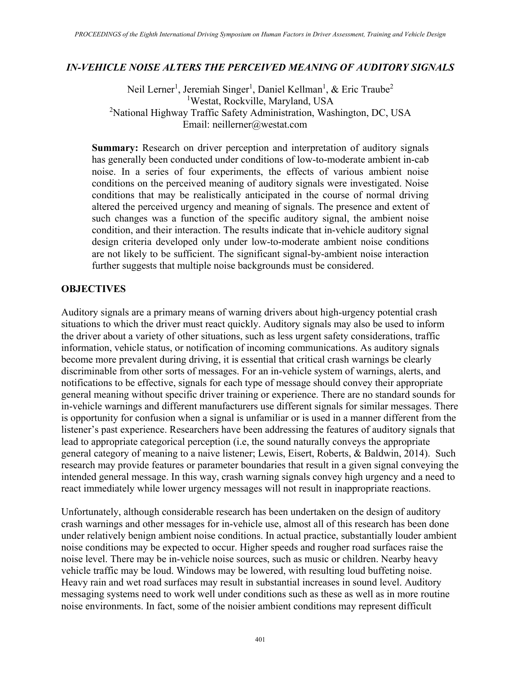#### *IN-VEHICLE NOISE ALTERS THE PERCEIVED MEANING OF AUDITORY SIGNALS*

Neil Lerner<sup>1</sup>, Jeremiah Singer<sup>1</sup>, Daniel Kellman<sup>1</sup>, & Eric Traube<sup>2</sup> 1 Westat, Rockville, Maryland, USA <sup>2</sup>National Highway Traffic Safety Administration, Washington, DC, USA Email: neillerner@westat.com

**Summary:** Research on driver perception and interpretation of auditory signals has generally been conducted under conditions of low-to-moderate ambient in-cab noise. In a series of four experiments, the effects of various ambient noise conditions on the perceived meaning of auditory signals were investigated. Noise conditions that may be realistically anticipated in the course of normal driving altered the perceived urgency and meaning of signals. The presence and extent of such changes was a function of the specific auditory signal, the ambient noise condition, and their interaction. The results indicate that in-vehicle auditory signal design criteria developed only under low-to-moderate ambient noise conditions are not likely to be sufficient. The significant signal-by-ambient noise interaction further suggests that multiple noise backgrounds must be considered.

#### **OBJECTIVES**

Auditory signals are a primary means of warning drivers about high-urgency potential crash situations to which the driver must react quickly. Auditory signals may also be used to inform the driver about a variety of other situations, such as less urgent safety considerations, traffic information, vehicle status, or notification of incoming communications. As auditory signals become more prevalent during driving, it is essential that critical crash warnings be clearly discriminable from other sorts of messages. For an in-vehicle system of warnings, alerts, and notifications to be effective, signals for each type of message should convey their appropriate general meaning without specific driver training or experience. There are no standard sounds for in-vehicle warnings and different manufacturers use different signals for similar messages. There is opportunity for confusion when a signal is unfamiliar or is used in a manner different from the listener's past experience. Researchers have been addressing the features of auditory signals that lead to appropriate categorical perception (i.e, the sound naturally conveys the appropriate general category of meaning to a naive listener; Lewis, Eisert, Roberts, & Baldwin, 2014). Such research may provide features or parameter boundaries that result in a given signal conveying the intended general message. In this way, crash warning signals convey high urgency and a need to react immediately while lower urgency messages will not result in inappropriate reactions.

Unfortunately, although considerable research has been undertaken on the design of auditory crash warnings and other messages for in-vehicle use, almost all of this research has been done under relatively benign ambient noise conditions. In actual practice, substantially louder ambient noise conditions may be expected to occur. Higher speeds and rougher road surfaces raise the noise level. There may be in-vehicle noise sources, such as music or children. Nearby heavy vehicle traffic may be loud. Windows may be lowered, with resulting loud buffeting noise. Heavy rain and wet road surfaces may result in substantial increases in sound level. Auditory messaging systems need to work well under conditions such as these as well as in more routine noise environments. In fact, some of the noisier ambient conditions may represent difficult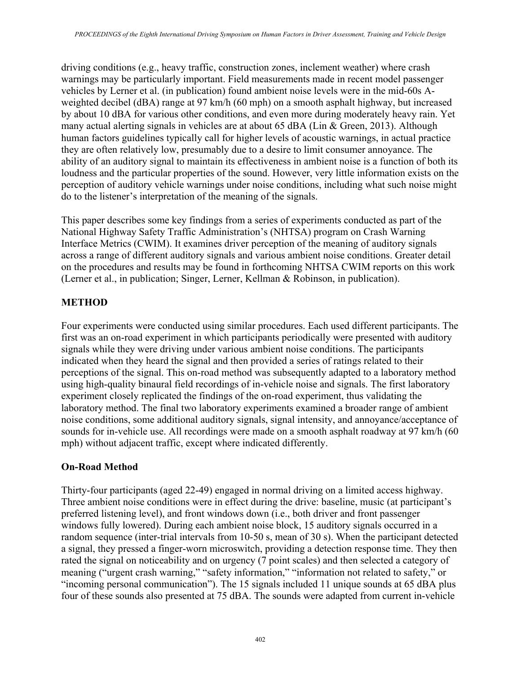driving conditions (e.g., heavy traffic, construction zones, inclement weather) where crash warnings may be particularly important. Field measurements made in recent model passenger vehicles by Lerner et al. (in publication) found ambient noise levels were in the mid-60s Aweighted decibel (dBA) range at 97 km/h (60 mph) on a smooth asphalt highway, but increased by about 10 dBA for various other conditions, and even more during moderately heavy rain. Yet many actual alerting signals in vehicles are at about 65 dBA (Lin & Green, 2013). Although human factors guidelines typically call for higher levels of acoustic warnings, in actual practice they are often relatively low, presumably due to a desire to limit consumer annoyance. The ability of an auditory signal to maintain its effectiveness in ambient noise is a function of both its loudness and the particular properties of the sound. However, very little information exists on the perception of auditory vehicle warnings under noise conditions, including what such noise might do to the listener's interpretation of the meaning of the signals.

This paper describes some key findings from a series of experiments conducted as part of the National Highway Safety Traffic Administration's (NHTSA) program on Crash Warning Interface Metrics (CWIM). It examines driver perception of the meaning of auditory signals across a range of different auditory signals and various ambient noise conditions. Greater detail on the procedures and results may be found in forthcoming NHTSA CWIM reports on this work (Lerner et al., in publication; Singer, Lerner, Kellman & Robinson, in publication).

# **METHOD**

Four experiments were conducted using similar procedures. Each used different participants. The first was an on-road experiment in which participants periodically were presented with auditory signals while they were driving under various ambient noise conditions. The participants indicated when they heard the signal and then provided a series of ratings related to their perceptions of the signal. This on-road method was subsequently adapted to a laboratory method using high-quality binaural field recordings of in-vehicle noise and signals. The first laboratory experiment closely replicated the findings of the on-road experiment, thus validating the laboratory method. The final two laboratory experiments examined a broader range of ambient noise conditions, some additional auditory signals, signal intensity, and annoyance/acceptance of sounds for in-vehicle use. All recordings were made on a smooth asphalt roadway at 97 km/h (60) mph) without adjacent traffic, except where indicated differently.

# **On-Road Method**

Thirty-four participants (aged 22-49) engaged in normal driving on a limited access highway. Three ambient noise conditions were in effect during the drive: baseline, music (at participant's preferred listening level), and front windows down (i.e., both driver and front passenger windows fully lowered). During each ambient noise block, 15 auditory signals occurred in a random sequence (inter-trial intervals from 10-50 s, mean of 30 s). When the participant detected a signal, they pressed a finger-worn microswitch, providing a detection response time. They then rated the signal on noticeability and on urgency (7 point scales) and then selected a category of meaning ("urgent crash warning," "safety information," "information not related to safety," or "incoming personal communication"). The 15 signals included 11 unique sounds at 65 dBA plus four of these sounds also presented at 75 dBA. The sounds were adapted from current in-vehicle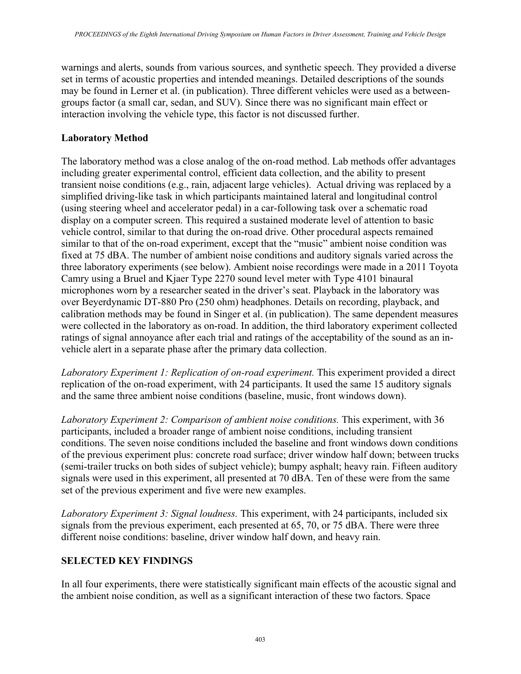warnings and alerts, sounds from various sources, and synthetic speech. They provided a diverse set in terms of acoustic properties and intended meanings. Detailed descriptions of the sounds may be found in Lerner et al. (in publication). Three different vehicles were used as a betweengroups factor (a small car, sedan, and SUV). Since there was no significant main effect or interaction involving the vehicle type, this factor is not discussed further.

#### **Laboratory Method**

The laboratory method was a close analog of the on-road method. Lab methods offer advantages including greater experimental control, efficient data collection, and the ability to present transient noise conditions (e.g., rain, adjacent large vehicles). Actual driving was replaced by a simplified driving-like task in which participants maintained lateral and longitudinal control (using steering wheel and accelerator pedal) in a car-following task over a schematic road display on a computer screen. This required a sustained moderate level of attention to basic vehicle control, similar to that during the on-road drive. Other procedural aspects remained similar to that of the on-road experiment, except that the "music" ambient noise condition was fixed at 75 dBA. The number of ambient noise conditions and auditory signals varied across the three laboratory experiments (see below). Ambient noise recordings were made in a 2011 Toyota Camry using a Bruel and Kjaer Type 2270 sound level meter with Type 4101 binaural microphones worn by a researcher seated in the driver's seat. Playback in the laboratory was over Beyerdynamic DT-880 Pro (250 ohm) headphones. Details on recording, playback, and calibration methods may be found in Singer et al. (in publication). The same dependent measures were collected in the laboratory as on-road. In addition, the third laboratory experiment collected ratings of signal annoyance after each trial and ratings of the acceptability of the sound as an invehicle alert in a separate phase after the primary data collection.

*Laboratory Experiment 1: Replication of on-road experiment.* This experiment provided a direct replication of the on-road experiment, with 24 participants. It used the same 15 auditory signals and the same three ambient noise conditions (baseline, music, front windows down).

*Laboratory Experiment 2: Comparison of ambient noise conditions.* This experiment, with 36 participants, included a broader range of ambient noise conditions, including transient conditions. The seven noise conditions included the baseline and front windows down conditions of the previous experiment plus: concrete road surface; driver window half down; between trucks (semi-trailer trucks on both sides of subject vehicle); bumpy asphalt; heavy rain. Fifteen auditory signals were used in this experiment, all presented at 70 dBA. Ten of these were from the same set of the previous experiment and five were new examples.

*Laboratory Experiment 3: Signal loudness.* This experiment, with 24 participants, included six signals from the previous experiment, each presented at 65, 70, or 75 dBA. There were three different noise conditions: baseline, driver window half down, and heavy rain.

# **SELECTED KEY FINDINGS**

In all four experiments, there were statistically significant main effects of the acoustic signal and the ambient noise condition, as well as a significant interaction of these two factors. Space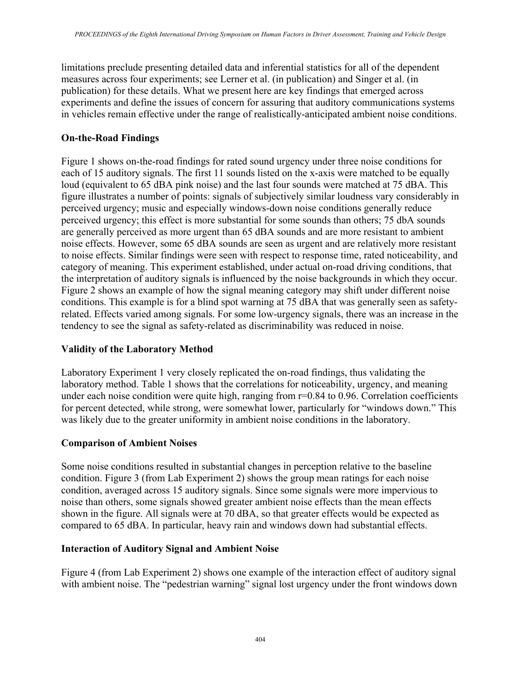limitations preclude presenting detailed data and inferential statistics for all of the dependent measures across four experiments; see Lerner et al. (in publication) and Singer et al. (in publication) for these details. What we present here are key findings that emerged across experiments and define the issues of concern for assuring that auditory communications systems in vehicles remain effective under the range of realistically-anticipated ambient noise conditions.

# **On-the-Road Findings**

Figure 1 shows on-the-road findings for rated sound urgency under three noise conditions for each of 15 auditory signals. The first 11 sounds listed on the x-axis were matched to be equally loud (equivalent to 65 dBA pink noise) and the last four sounds were matched at 75 dBA. This figure illustrates a number of points: signals of subjectively similar loudness vary considerably in perceived urgency; music and especially windows-down noise conditions generally reduce perceived urgency; this effect is more substantial for some sounds than others; 75 dbA sounds are generally perceived as more urgent than 65 dBA sounds and are more resistant to ambient noise effects. However, some 65 dBA sounds are seen as urgent and are relatively more resistant to noise effects. Similar findings were seen with respect to response time, rated noticeability, and category of meaning. This experiment established, under actual on-road driving conditions, that the interpretation of auditory signals is influenced by the noise backgrounds in which they occur. Figure 2 shows an example of how the signal meaning category may shift under different noise conditions. This example is for a blind spot warning at 75 dBA that was generally seen as safetyrelated. Effects varied among signals. For some low-urgency signals, there was an increase in the tendency to see the signal as safety-related as discriminability was reduced in noise.

# **Validity of the Laboratory Method**

Laboratory Experiment 1 very closely replicated the on-road findings, thus validating the laboratory method. Table 1 shows that the correlations for noticeability, urgency, and meaning under each noise condition were quite high, ranging from r=0.84 to 0.96. Correlation coefficients for percent detected, while strong, were somewhat lower, particularly for "windows down." This was likely due to the greater uniformity in ambient noise conditions in the laboratory.

#### **Comparison of Ambient Noises**

Some noise conditions resulted in substantial changes in perception relative to the baseline condition. Figure 3 (from Lab Experiment 2) shows the group mean ratings for each noise condition, averaged across 15 auditory signals. Since some signals were more impervious to noise than others, some signals showed greater ambient noise effects than the mean effects shown in the figure. All signals were at 70 dBA, so that greater effects would be expected as compared to 65 dBA. In particular, heavy rain and windows down had substantial effects.

#### **Interaction of Auditory Signal and Ambient Noise**

Figure 4 (from Lab Experiment 2) shows one example of the interaction effect of auditory signal with ambient noise. The "pedestrian warning" signal lost urgency under the front windows down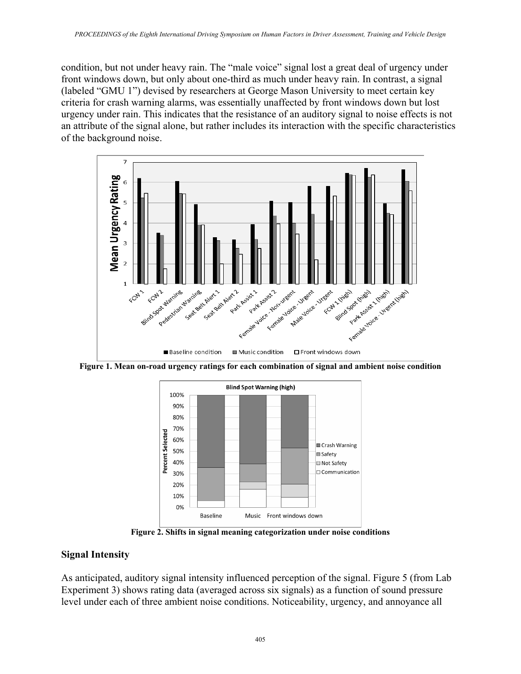condition, but not under heavy rain. The "male voice" signal lost a great deal of urgency under front windows down, but only about one-third as much under heavy rain. In contrast, a signal (labeled "GMU 1") devised by researchers at George Mason University to meet certain key criteria for crash warning alarms, was essentially unaffected by front windows down but lost urgency under rain. This indicates that the resistance of an auditory signal to noise effects is not an attribute of the signal alone, but rather includes its interaction with the specific characteristics of the background noise.



**Figure 1. Mean on-road urgency ratings for each combination of signal and ambient noise condition** 



**Figure 2. Shifts in signal meaning categorization under noise conditions**

#### **Signal Intensity**

As anticipated, auditory signal intensity influenced perception of the signal. Figure 5 (from Lab Experiment 3) shows rating data (averaged across six signals) as a function of sound pressure level under each of three ambient noise conditions. Noticeability, urgency, and annoyance all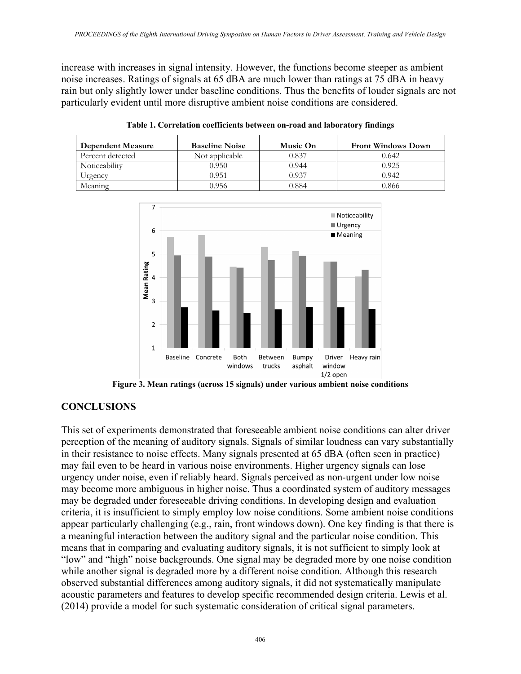increase with increases in signal intensity. However, the functions become steeper as ambient noise increases. Ratings of signals at 65 dBA are much lower than ratings at 75 dBA in heavy rain but only slightly lower under baseline conditions. Thus the benefits of louder signals are not particularly evident until more disruptive ambient noise conditions are considered.

| Dependent Measure | <b>Baseline Noise</b> | Music On | <b>Front Windows Down</b> |
|-------------------|-----------------------|----------|---------------------------|
| Percent detected  | Not applicable        | 0.837    | 0.642                     |
| Noticeability     | 0.950                 | 0.944    | 0.925                     |
| Urgency           | 0.951                 | 0.937    | 0.942                     |
| Meaning           | 0.956                 | 0.884    | 0.866                     |

**Table 1. Correlation coefficients between on-road and laboratory findings** 



**Figure 3. Mean ratings (across 15 signals) under various ambient noise conditions**

# **CONCLUSIONS**

This set of experiments demonstrated that foreseeable ambient noise conditions can alter driver perception of the meaning of auditory signals. Signals of similar loudness can vary substantially in their resistance to noise effects. Many signals presented at 65 dBA (often seen in practice) may fail even to be heard in various noise environments. Higher urgency signals can lose urgency under noise, even if reliably heard. Signals perceived as non-urgent under low noise may become more ambiguous in higher noise. Thus a coordinated system of auditory messages may be degraded under foreseeable driving conditions. In developing design and evaluation criteria, it is insufficient to simply employ low noise conditions. Some ambient noise conditions appear particularly challenging (e.g., rain, front windows down). One key finding is that there is a meaningful interaction between the auditory signal and the particular noise condition. This means that in comparing and evaluating auditory signals, it is not sufficient to simply look at "low" and "high" noise backgrounds. One signal may be degraded more by one noise condition while another signal is degraded more by a different noise condition. Although this research observed substantial differences among auditory signals, it did not systematically manipulate acoustic parameters and features to develop specific recommended design criteria. Lewis et al. (2014) provide a model for such systematic consideration of critical signal parameters.